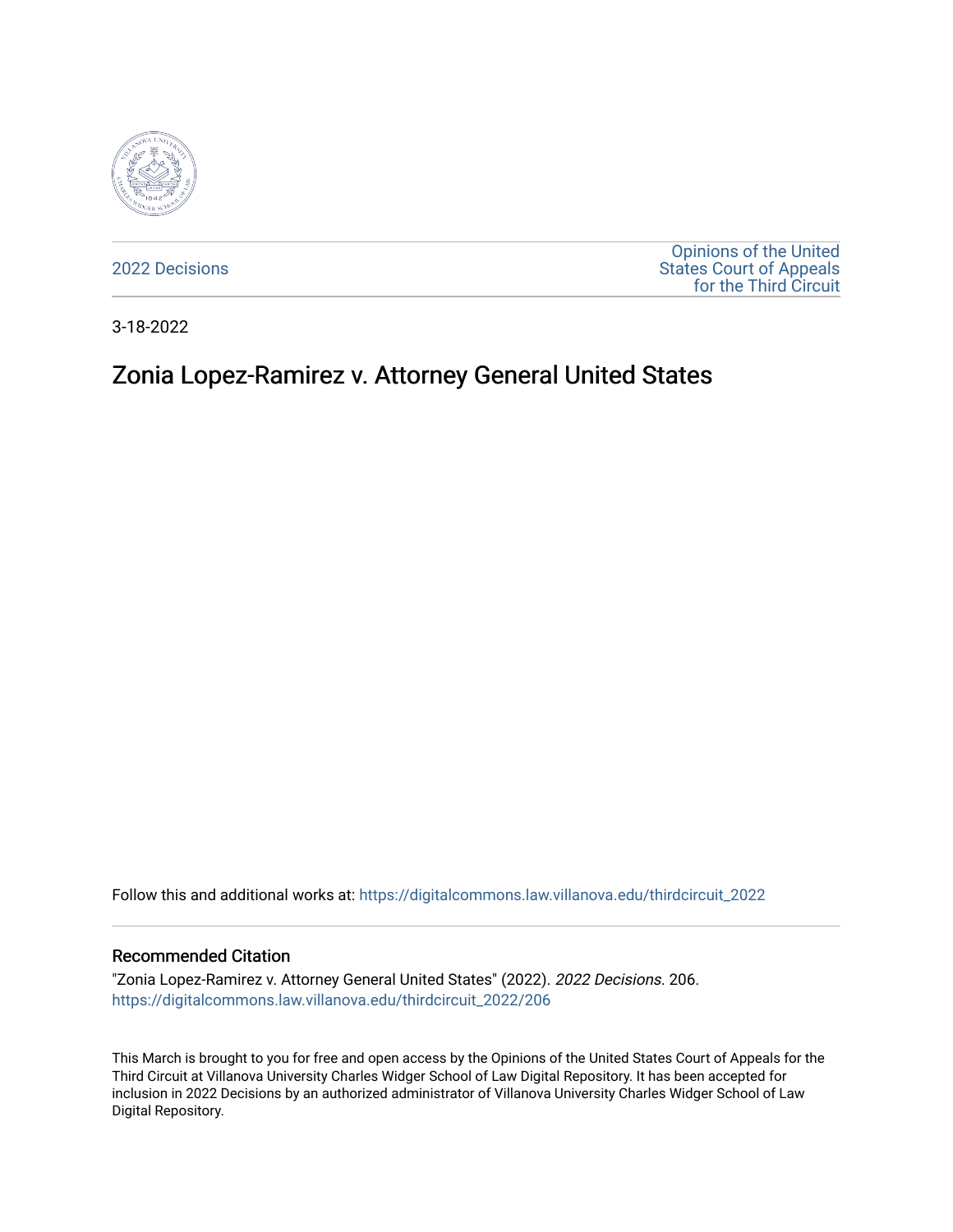

[2022 Decisions](https://digitalcommons.law.villanova.edu/thirdcircuit_2022)

[Opinions of the United](https://digitalcommons.law.villanova.edu/thirdcircuit)  [States Court of Appeals](https://digitalcommons.law.villanova.edu/thirdcircuit)  [for the Third Circuit](https://digitalcommons.law.villanova.edu/thirdcircuit) 

3-18-2022

# Zonia Lopez-Ramirez v. Attorney General United States

Follow this and additional works at: [https://digitalcommons.law.villanova.edu/thirdcircuit\\_2022](https://digitalcommons.law.villanova.edu/thirdcircuit_2022?utm_source=digitalcommons.law.villanova.edu%2Fthirdcircuit_2022%2F206&utm_medium=PDF&utm_campaign=PDFCoverPages) 

#### Recommended Citation

"Zonia Lopez-Ramirez v. Attorney General United States" (2022). 2022 Decisions. 206. [https://digitalcommons.law.villanova.edu/thirdcircuit\\_2022/206](https://digitalcommons.law.villanova.edu/thirdcircuit_2022/206?utm_source=digitalcommons.law.villanova.edu%2Fthirdcircuit_2022%2F206&utm_medium=PDF&utm_campaign=PDFCoverPages)

This March is brought to you for free and open access by the Opinions of the United States Court of Appeals for the Third Circuit at Villanova University Charles Widger School of Law Digital Repository. It has been accepted for inclusion in 2022 Decisions by an authorized administrator of Villanova University Charles Widger School of Law Digital Repository.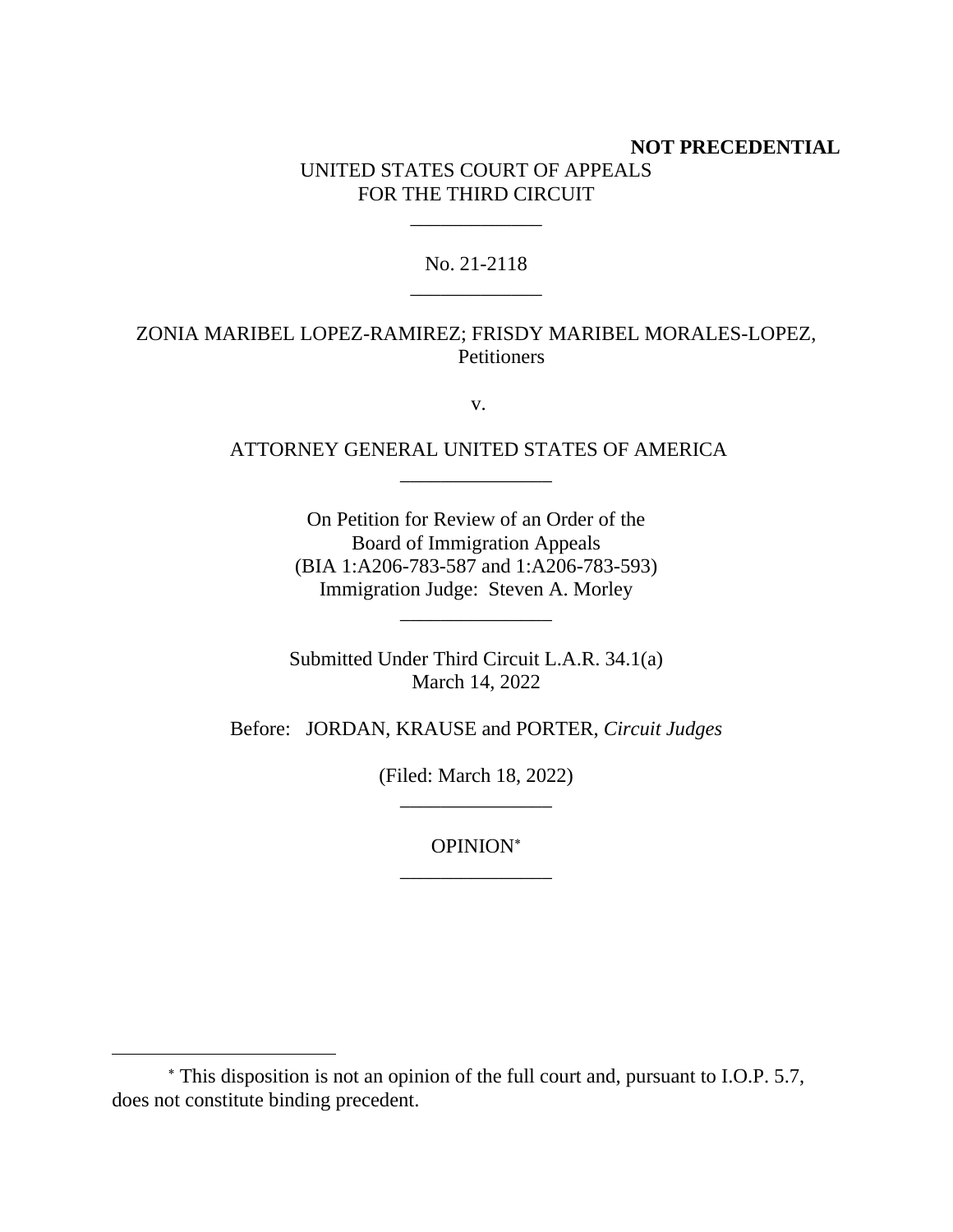# **NOT PRECEDENTIAL** UNITED STATES COURT OF APPEALS FOR THE THIRD CIRCUIT

## No. 21-2118 \_\_\_\_\_\_\_\_\_\_\_\_\_

\_\_\_\_\_\_\_\_\_\_\_\_\_

# ZONIA MARIBEL LOPEZ-RAMIREZ; FRISDY MARIBEL MORALES-LOPEZ, **Petitioners**

v.

# ATTORNEY GENERAL UNITED STATES OF AMERICA \_\_\_\_\_\_\_\_\_\_\_\_\_\_\_

On Petition for Review of an Order of the Board of Immigration Appeals (BIA 1:A206-783-587 and 1:A206-783-593) Immigration Judge: Steven A. Morley

Submitted Under Third Circuit L.A.R. 34.1(a) March 14, 2022

\_\_\_\_\_\_\_\_\_\_\_\_\_\_\_

Before: JORDAN, KRAUSE and PORTER, *Circuit Judges*

(Filed: March 18, 2022) \_\_\_\_\_\_\_\_\_\_\_\_\_\_\_

> OPINION \_\_\_\_\_\_\_\_\_\_\_\_\_\_\_

This disposition is not an opinion of the full court and, pursuant to I.O.P. 5.7, does not constitute binding precedent.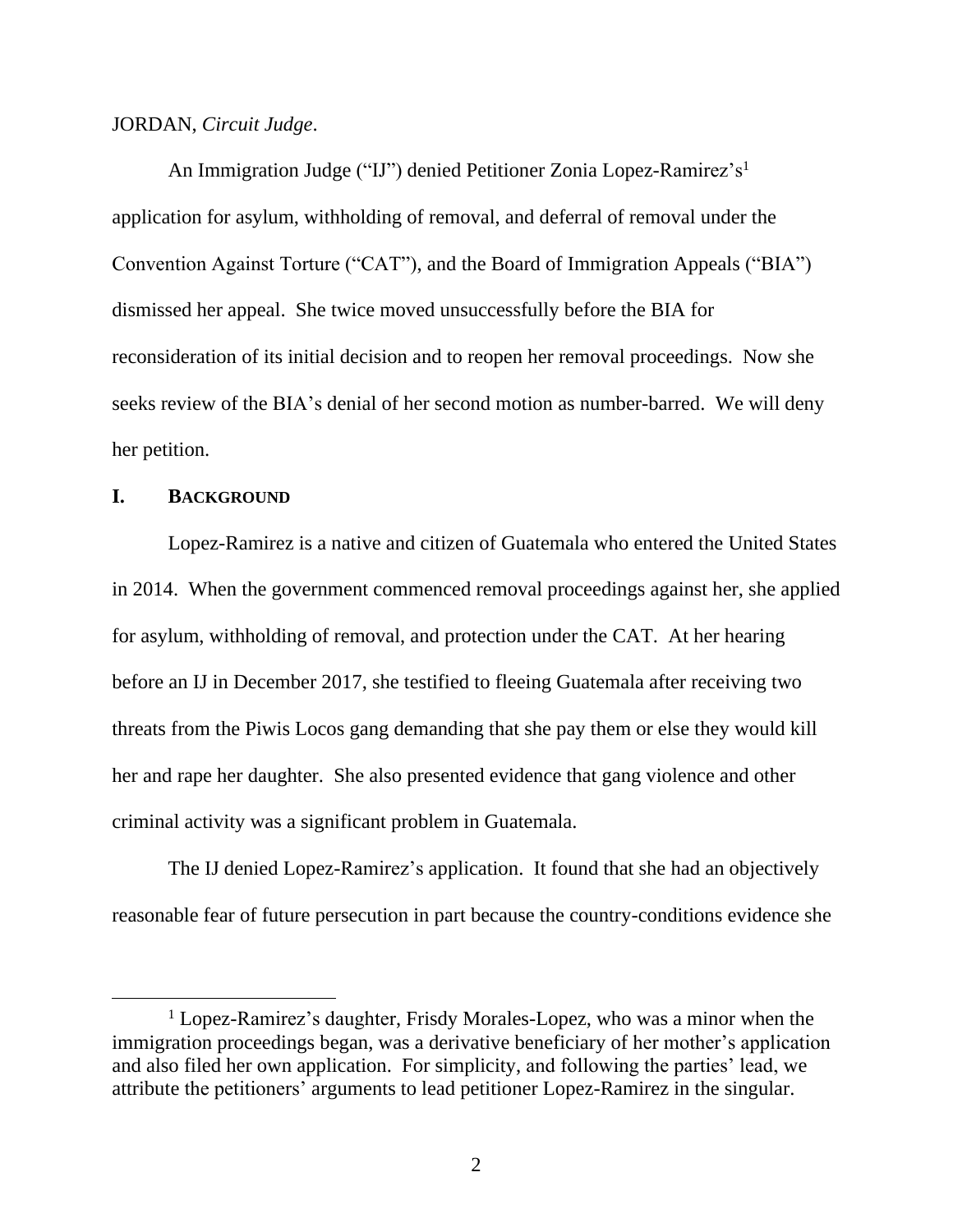#### JORDAN, *Circuit Judge*.

An Immigration Judge ("IJ") denied Petitioner Zonia Lopez-Ramirez's<sup>1</sup> application for asylum, withholding of removal, and deferral of removal under the Convention Against Torture ("CAT"), and the Board of Immigration Appeals ("BIA") dismissed her appeal. She twice moved unsuccessfully before the BIA for reconsideration of its initial decision and to reopen her removal proceedings. Now she seeks review of the BIA's denial of her second motion as number-barred. We will deny her petition.

### **I. BACKGROUND**

Lopez-Ramirez is a native and citizen of Guatemala who entered the United States in 2014. When the government commenced removal proceedings against her, she applied for asylum, withholding of removal, and protection under the CAT. At her hearing before an IJ in December 2017, she testified to fleeing Guatemala after receiving two threats from the Piwis Locos gang demanding that she pay them or else they would kill her and rape her daughter. She also presented evidence that gang violence and other criminal activity was a significant problem in Guatemala.

The IJ denied Lopez-Ramirez's application. It found that she had an objectively reasonable fear of future persecution in part because the country-conditions evidence she

<sup>&</sup>lt;sup>1</sup> Lopez-Ramirez's daughter, Frisdy Morales-Lopez, who was a minor when the immigration proceedings began, was a derivative beneficiary of her mother's application and also filed her own application. For simplicity, and following the parties' lead, we attribute the petitioners' arguments to lead petitioner Lopez-Ramirez in the singular.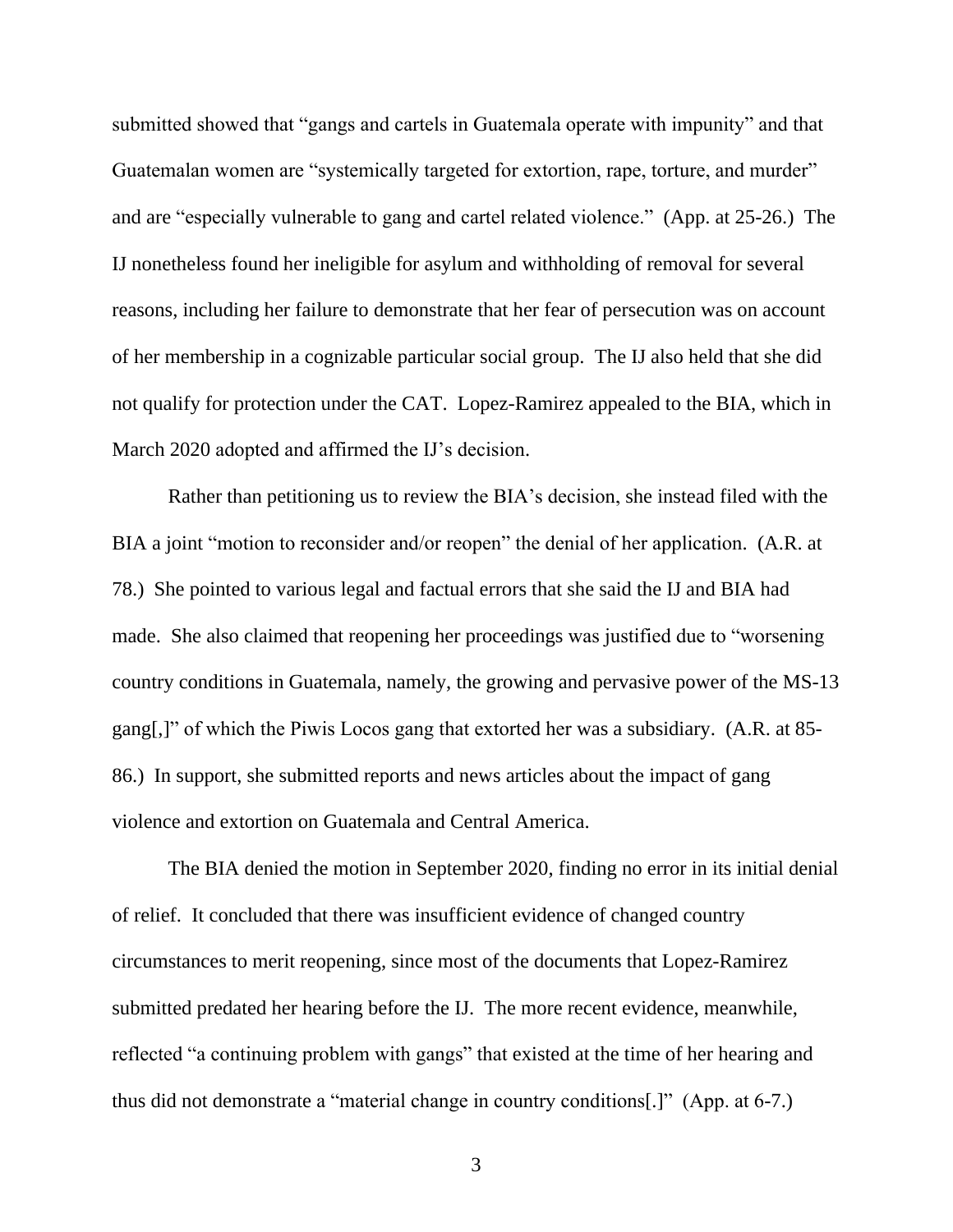submitted showed that "gangs and cartels in Guatemala operate with impunity" and that Guatemalan women are "systemically targeted for extortion, rape, torture, and murder" and are "especially vulnerable to gang and cartel related violence." (App. at 25-26.) The IJ nonetheless found her ineligible for asylum and withholding of removal for several reasons, including her failure to demonstrate that her fear of persecution was on account of her membership in a cognizable particular social group. The IJ also held that she did not qualify for protection under the CAT. Lopez-Ramirez appealed to the BIA, which in March 2020 adopted and affirmed the IJ's decision.

Rather than petitioning us to review the BIA's decision, she instead filed with the BIA a joint "motion to reconsider and/or reopen" the denial of her application. (A.R. at 78.) She pointed to various legal and factual errors that she said the IJ and BIA had made. She also claimed that reopening her proceedings was justified due to "worsening country conditions in Guatemala, namely, the growing and pervasive power of the MS-13 gang[,]" of which the Piwis Locos gang that extorted her was a subsidiary. (A.R. at 85- 86.) In support, she submitted reports and news articles about the impact of gang violence and extortion on Guatemala and Central America.

The BIA denied the motion in September 2020, finding no error in its initial denial of relief. It concluded that there was insufficient evidence of changed country circumstances to merit reopening, since most of the documents that Lopez-Ramirez submitted predated her hearing before the IJ. The more recent evidence, meanwhile, reflected "a continuing problem with gangs" that existed at the time of her hearing and thus did not demonstrate a "material change in country conditions[.]" (App. at 6-7.)

3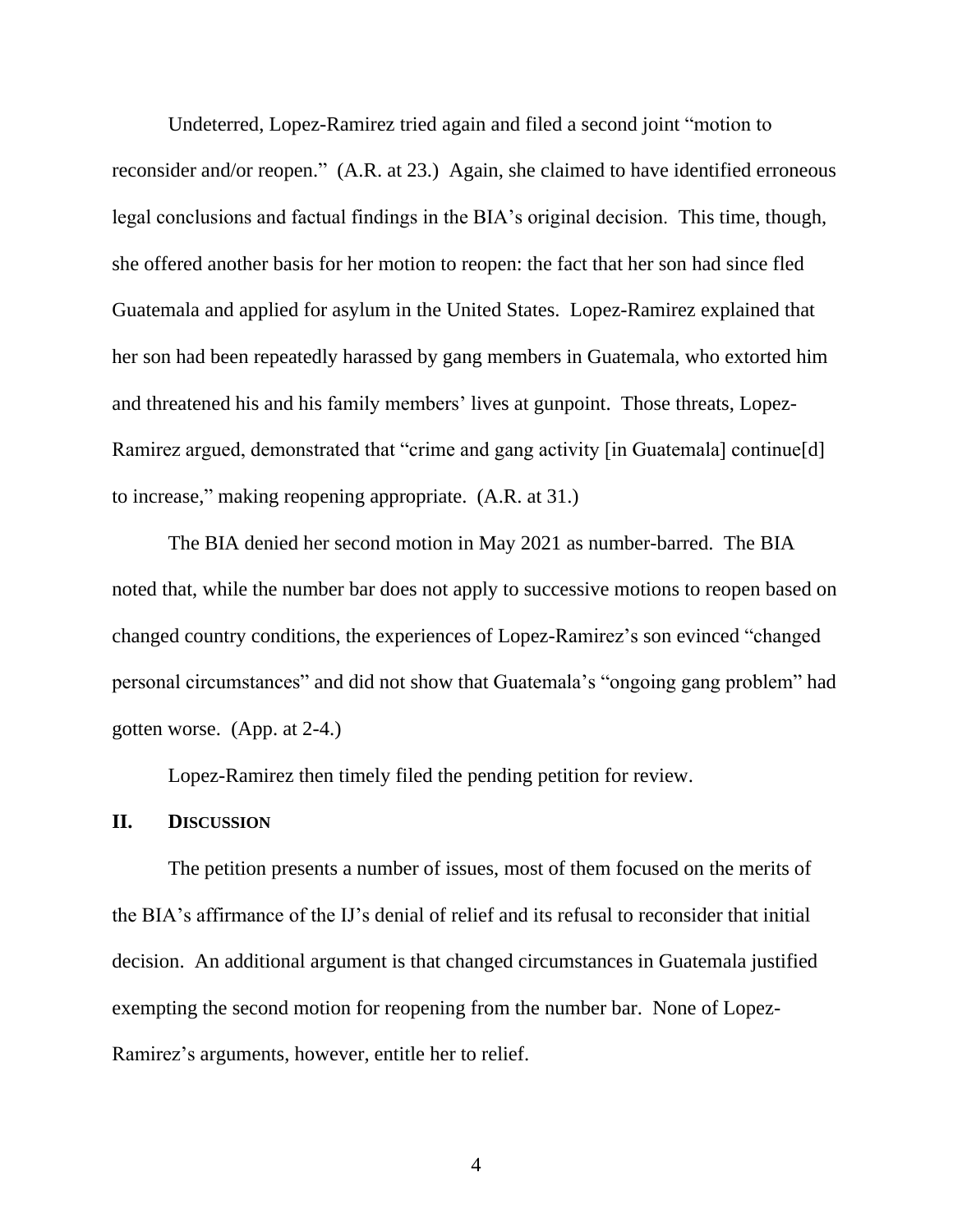Undeterred, Lopez-Ramirez tried again and filed a second joint "motion to reconsider and/or reopen." (A.R. at 23.) Again, she claimed to have identified erroneous legal conclusions and factual findings in the BIA's original decision. This time, though, she offered another basis for her motion to reopen: the fact that her son had since fled Guatemala and applied for asylum in the United States. Lopez-Ramirez explained that her son had been repeatedly harassed by gang members in Guatemala, who extorted him and threatened his and his family members' lives at gunpoint. Those threats, Lopez-Ramirez argued, demonstrated that "crime and gang activity [in Guatemala] continue[d] to increase," making reopening appropriate. (A.R. at 31.)

The BIA denied her second motion in May 2021 as number-barred. The BIA noted that, while the number bar does not apply to successive motions to reopen based on changed country conditions, the experiences of Lopez-Ramirez's son evinced "changed personal circumstances" and did not show that Guatemala's "ongoing gang problem" had gotten worse. (App. at 2-4.)

Lopez-Ramirez then timely filed the pending petition for review.

## **II. DISCUSSION**

The petition presents a number of issues, most of them focused on the merits of the BIA's affirmance of the IJ's denial of relief and its refusal to reconsider that initial decision. An additional argument is that changed circumstances in Guatemala justified exempting the second motion for reopening from the number bar. None of Lopez-Ramirez's arguments, however, entitle her to relief.

4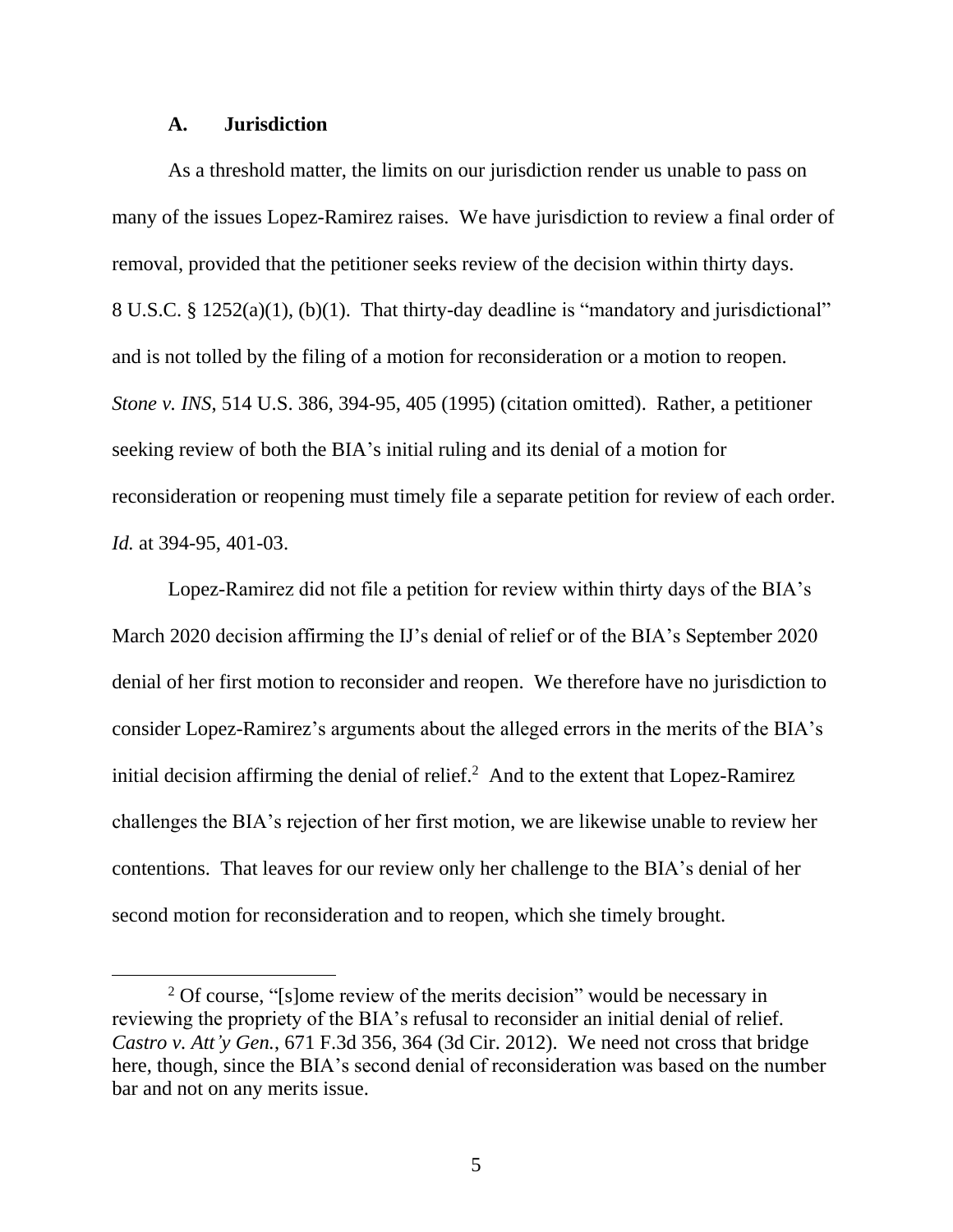#### **A. Jurisdiction**

As a threshold matter, the limits on our jurisdiction render us unable to pass on many of the issues Lopez-Ramirez raises. We have jurisdiction to review a final order of removal, provided that the petitioner seeks review of the decision within thirty days. 8 U.S.C. § 1252(a)(1), (b)(1). That thirty-day deadline is "mandatory and jurisdictional" and is not tolled by the filing of a motion for reconsideration or a motion to reopen. *Stone v. INS*, 514 U.S. 386, 394-95, 405 (1995) (citation omitted). Rather, a petitioner seeking review of both the BIA's initial ruling and its denial of a motion for reconsideration or reopening must timely file a separate petition for review of each order. *Id.* at 394-95, 401-03.

Lopez-Ramirez did not file a petition for review within thirty days of the BIA's March 2020 decision affirming the IJ's denial of relief or of the BIA's September 2020 denial of her first motion to reconsider and reopen. We therefore have no jurisdiction to consider Lopez-Ramirez's arguments about the alleged errors in the merits of the BIA's initial decision affirming the denial of relief. $<sup>2</sup>$  And to the extent that Lopez-Ramirez</sup> challenges the BIA's rejection of her first motion, we are likewise unable to review her contentions. That leaves for our review only her challenge to the BIA's denial of her second motion for reconsideration and to reopen, which she timely brought.

<sup>&</sup>lt;sup>2</sup> Of course, "[s]ome review of the merits decision" would be necessary in reviewing the propriety of the BIA's refusal to reconsider an initial denial of relief. *Castro v. Att'y Gen.*, 671 F.3d 356, 364 (3d Cir. 2012). We need not cross that bridge here, though, since the BIA's second denial of reconsideration was based on the number bar and not on any merits issue.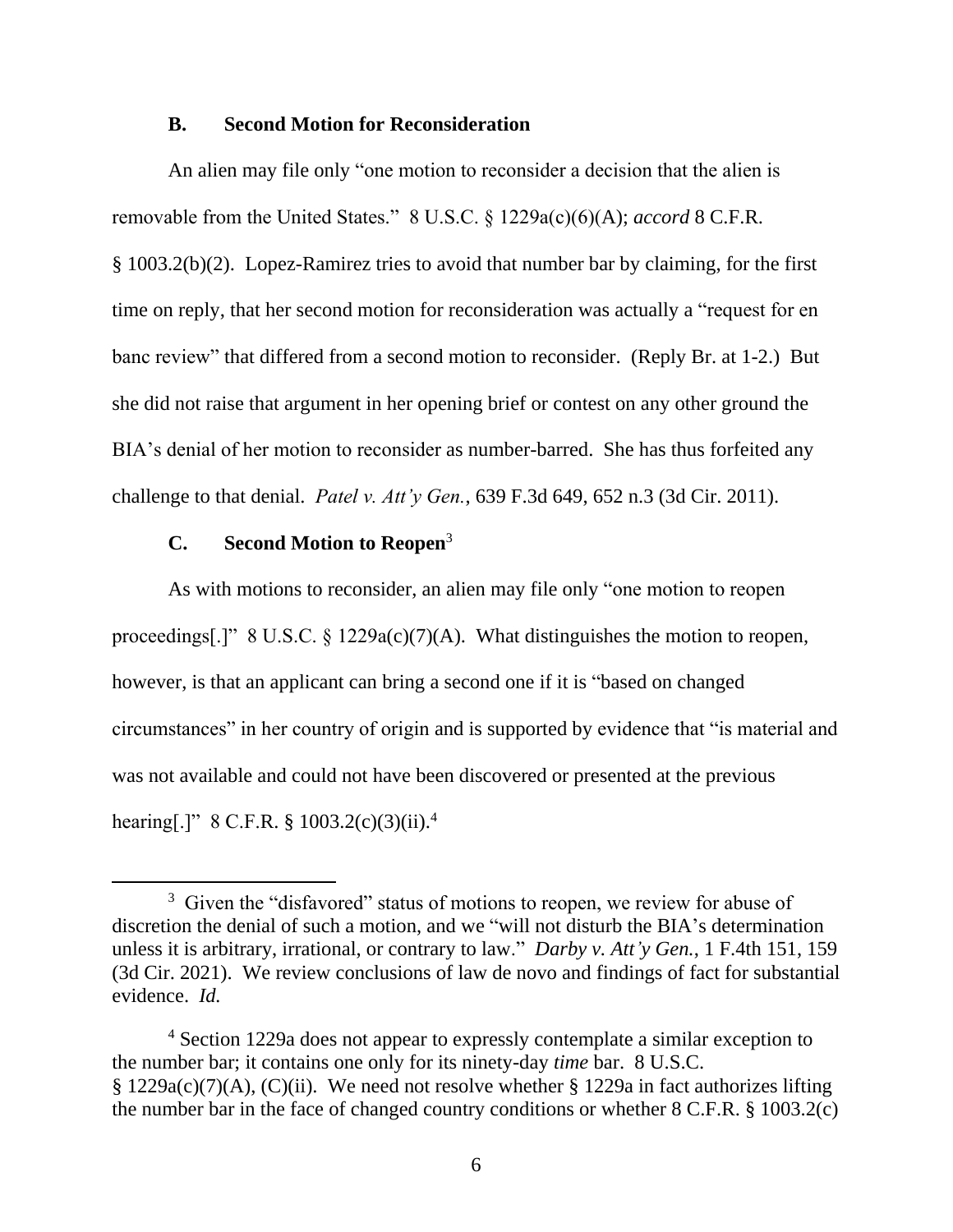#### **B. Second Motion for Reconsideration**

An alien may file only "one motion to reconsider a decision that the alien is removable from the United States." 8 U.S.C. § 1229a(c)(6)(A); *accord* 8 C.F.R. § 1003.2(b)(2). Lopez-Ramirez tries to avoid that number bar by claiming, for the first time on reply, that her second motion for reconsideration was actually a "request for en banc review" that differed from a second motion to reconsider. (Reply Br. at 1-2.) But she did not raise that argument in her opening brief or contest on any other ground the BIA's denial of her motion to reconsider as number-barred. She has thus forfeited any challenge to that denial. *Patel v. Att'y Gen.*, 639 F.3d 649, 652 n.3 (3d Cir. 2011).

## **C. Second Motion to Reopen**<sup>3</sup>

As with motions to reconsider, an alien may file only "one motion to reopen proceedings[.]" 8 U.S.C.  $\S$  1229a(c)(7)(A). What distinguishes the motion to reopen, however, is that an applicant can bring a second one if it is "based on changed circumstances" in her country of origin and is supported by evidence that "is material and was not available and could not have been discovered or presented at the previous hearing[.]" 8 C.F.R. § 1003.2(c)(3)(ii).<sup>4</sup>

 $3$  Given the "disfavored" status of motions to reopen, we review for abuse of discretion the denial of such a motion, and we "will not disturb the BIA's determination unless it is arbitrary, irrational, or contrary to law." *Darby v. Att'y Gen.*, 1 F.4th 151, 159 (3d Cir. 2021). We review conclusions of law de novo and findings of fact for substantial evidence. *Id.*

<sup>4</sup> Section 1229a does not appear to expressly contemplate a similar exception to the number bar; it contains one only for its ninety-day *time* bar. 8 U.S.C. § 1229a(c)(7)(A), (C)(ii). We need not resolve whether § 1229a in fact authorizes lifting the number bar in the face of changed country conditions or whether 8 C.F.R. § 1003.2(c)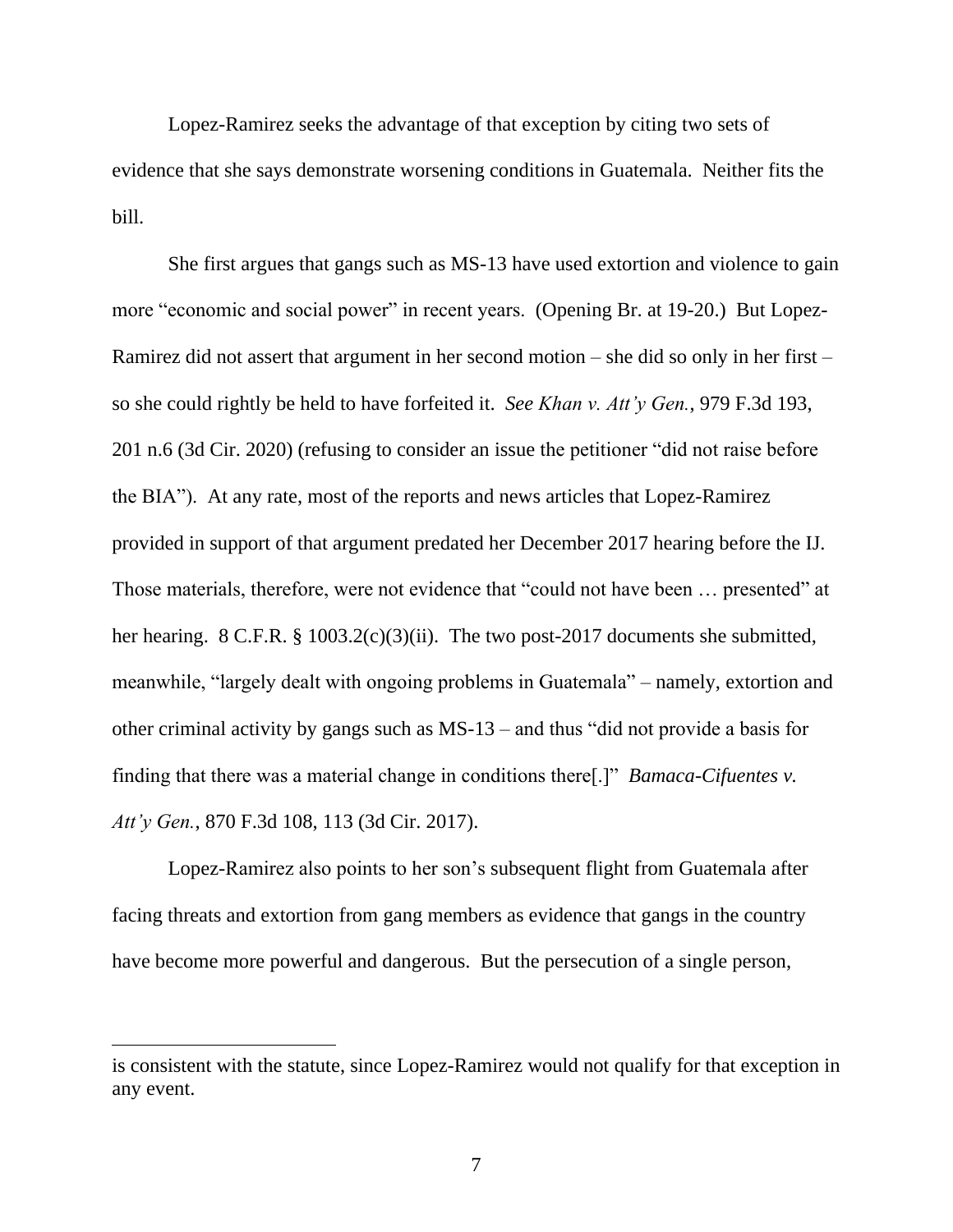Lopez-Ramirez seeks the advantage of that exception by citing two sets of evidence that she says demonstrate worsening conditions in Guatemala. Neither fits the bill.

She first argues that gangs such as MS-13 have used extortion and violence to gain more "economic and social power" in recent years. (Opening Br. at 19-20.) But Lopez-Ramirez did not assert that argument in her second motion – she did so only in her first – so she could rightly be held to have forfeited it. *See Khan v. Att'y Gen.*, 979 F.3d 193, 201 n.6 (3d Cir. 2020) (refusing to consider an issue the petitioner "did not raise before the BIA"). At any rate, most of the reports and news articles that Lopez-Ramirez provided in support of that argument predated her December 2017 hearing before the IJ. Those materials, therefore, were not evidence that "could not have been … presented" at her hearing. 8 C.F.R. § 1003.2(c)(3)(ii). The two post-2017 documents she submitted, meanwhile, "largely dealt with ongoing problems in Guatemala" – namely, extortion and other criminal activity by gangs such as MS-13 – and thus "did not provide a basis for finding that there was a material change in conditions there[.]" *Bamaca-Cifuentes v. Att'y Gen.*, 870 F.3d 108, 113 (3d Cir. 2017).

Lopez-Ramirez also points to her son's subsequent flight from Guatemala after facing threats and extortion from gang members as evidence that gangs in the country have become more powerful and dangerous. But the persecution of a single person,

is consistent with the statute, since Lopez-Ramirez would not qualify for that exception in any event.